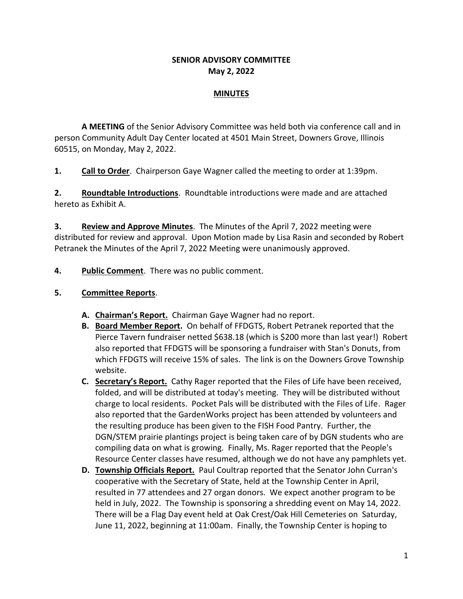### **SENIOR ADVISORY COMMITTEE May 2, 2022**

### **MINUTES**

**A MEETING** of the Senior Advisory Committee was held both via conference call and in person Community Adult Day Center located at 4501 Main Street, Downers Grove, Illinois 60515, on Monday, May 2, 2022.

**1. Call to Order**. Chairperson Gaye Wagner called the meeting to order at 1:39pm.

**2. Roundtable Introductions**. Roundtable introductions were made and are attached hereto as Exhibit A.

**3. Review and Approve Minutes**. The Minutes of the April 7, 2022 meeting were distributed for review and approval. Upon Motion made by Lisa Rasin and seconded by Robert Petranek the Minutes of the April 7, 2022 Meeting were unanimously approved.

**4. Public Comment**. There was no public comment.

### **5. Committee Reports**.

- **A. Chairman's Report.** Chairman Gaye Wagner had no report.
- **B. Board Member Report.** On behalf of FFDGTS, Robert Petranek reported that the Pierce Tavern fundraiser netted \$638.18 (which is \$200 more than last year!) Robert also reported that FFDGTS will be sponsoring a fundraiser with Stan's Donuts, from which FFDGTS will receive 15% of sales. The link is on the Downers Grove Township website.
- **C. Secretary's Report.** Cathy Rager reported that the Files of Life have been received, folded, and will be distributed at today's meeting. They will be distributed without charge to local residents. Pocket Pals will be distributed with the Files of Life. Rager also reported that the GardenWorks project has been attended by volunteers and the resulting produce has been given to the FISH Food Pantry. Further, the DGN/STEM prairie plantings project is being taken care of by DGN students who are compiling data on what is growing. Finally, Ms. Rager reported that the People's Resource Center classes have resumed, although we do not have any pamphlets yet.
- **D. Township Officials Report.** Paul Coultrap reported that the Senator John Curran's cooperative with the Secretary of State, held at the Township Center in April, resulted in 77 attendees and 27 organ donors. We expect another program to be held in July, 2022. The Township is sponsoring a shredding event on May 14, 2022. There will be a Flag Day event held at Oak Crest/Oak Hill Cemeteries on Saturday, June 11, 2022, beginning at 11:00am. Finally, the Township Center is hoping to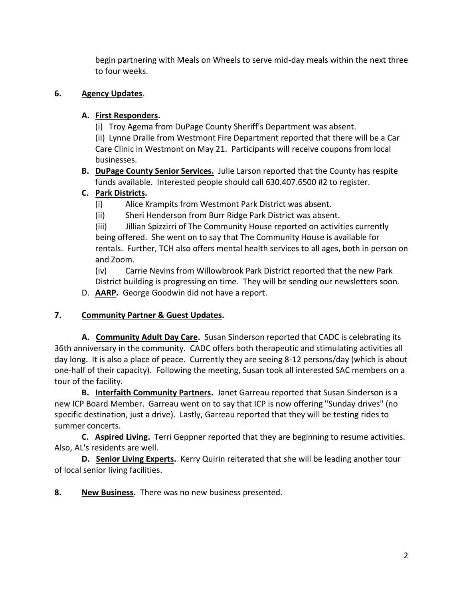begin partnering with Meals on Wheels to serve mid-day meals within the next three to four weeks.

## **6. Agency Updates**.

## **A. First Responders.**

(i) Troy Agema from DuPage County Sheriff's Department was absent.

(ii) Lynne Dralle from Westmont Fire Department reported that there will be a Car Care Clinic in Westmont on May 21. Participants will receive coupons from local businesses.

**B. DuPage County Senior Services.** Julie Larson reported that the County has respite funds available. Interested people should call 630.407.6500 #2 to register.

# **C. Park Districts.**

- (i) Alice Krampits from Westmont Park District was absent.
- (ii) Sheri Henderson from Burr Ridge Park District was absent.

(iii) Jillian Spizzirri of The Community House reported on activities currently being offered. She went on to say that The Community House is available for rentals. Further, TCH also offers mental health services to all ages, both in person on and Zoom.

(iv) Carrie Nevins from Willowbrook Park District reported that the new Park District building is progressing on time. They will be sending our newsletters soon.

D. **AARP.** George Goodwin did not have a report.

# **7. Community Partner & Guest Updates.**

**A. Community Adult Day Care.** Susan Sinderson reported that CADC is celebrating its 36th anniversary in the community. CADC offers both therapeutic and stimulating activities all day long. It is also a place of peace. Currently they are seeing 8-12 persons/day (which is about one-half of their capacity). Following the meeting, Susan took all interested SAC members on a tour of the facility.

**B. Interfaith Community Partners.** Janet Garreau reported that Susan Sinderson is a new ICP Board Member. Garreau went on to say that ICP is now offering "Sunday drives" (no specific destination, just a drive). Lastly, Garreau reported that they will be testing rides to summer concerts.

**C. Aspired Living.** Terri Geppner reported that they are beginning to resume activities. Also, AL's residents are well.

**D. Senior Living Experts.** Kerry Quirin reiterated that she will be leading another tour of local senior living facilities.

**8. New Business.** There was no new business presented.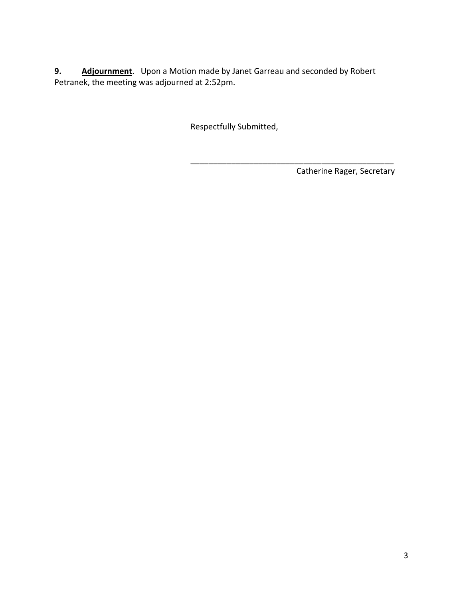**9. Adjournment**. Upon a Motion made by Janet Garreau and seconded by Robert Petranek, the meeting was adjourned at 2:52pm.

Respectfully Submitted,

Catherine Rager, Secretary

\_\_\_\_\_\_\_\_\_\_\_\_\_\_\_\_\_\_\_\_\_\_\_\_\_\_\_\_\_\_\_\_\_\_\_\_\_\_\_\_\_\_\_\_\_